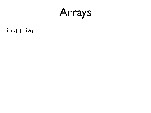

int[] ia;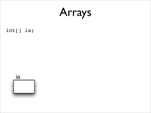

int[] ia;

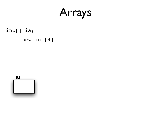int[] ia;

#### new int[4]

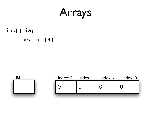int[] ia;

#### new int[4]



| Index: 0 | Index: 1 | Index: 2 | Index: 3 |
|----------|----------|----------|----------|
|          |          |          |          |
|          |          |          |          |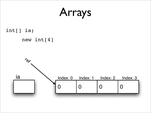int[] ia;

#### new int[4]

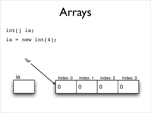int[] ia;

#### ia = new int $[4]$ ;

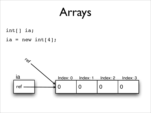int[] ia;

#### ia = new int $[4]$ ;

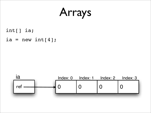int[] ia;

ia = new int $[4]$ ;

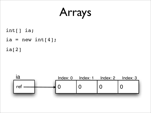int[] ia; ia = new int $[4]$ ; ia[2]

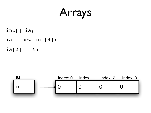int[] ia; ia = new int $[4]$ ;  $ia[2] = 15;$ 

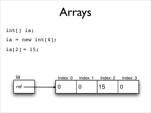int[] ia; ia = new int $[4]$ ;  $ia[2] = 15;$ 

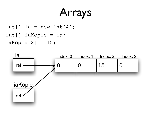$int[]$  ia = new int $[4]$ ;  $i$ aKopie $[2] = 15;$  $int[]$  iaKopie = ia;